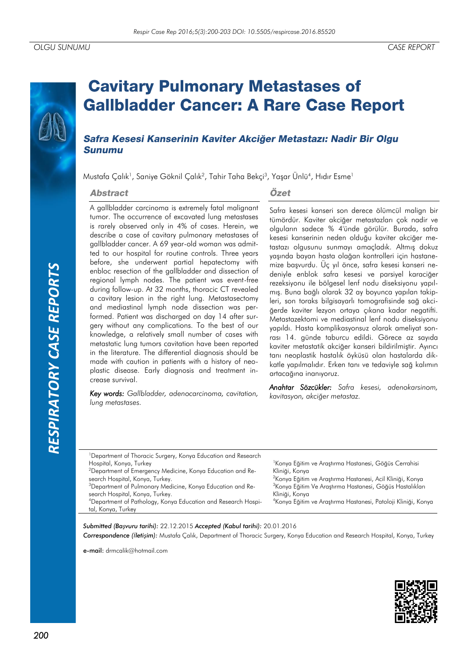# *RESPIRATORY CASE REPORTS*RESPIRATORY CASE REPORTS

# **Cavitary Pulmonary Metastases of Gallbladder Cancer: A Rare Case Report**

## Safra Kesesi Kanserinin Kaviter Akciğer Metastazı: Nadir Bir Olgu **Sunumu**

Mustafa Çalık<sup>1</sup>, Saniye Göknil Çalık<sup>2</sup>, Tahir Taha Bekçi<sup>3</sup>, Yaşar Ünlü<sup>4</sup>, Hıdır Esme<sup>1</sup>

### **Abstract**

### A gallbladder carcinoma is extremely fatal malignant tumor. The occurrence of excavated lung metastases is rarely observed only in 4% of cases. Herein, we describe a case of cavitary pulmonary metastases of gallbladder cancer. A 69 year-old woman was admitted to our hospital for routine controls. Three years before, she underwent partial hepatectomy with enbloc resection of the gallbladder and dissection of regional lymph nodes. The patient was event-free during follow-up. At 32 months, thoracic CT revealed a cavitary lesion in the right lung. Metastasectomy and mediastinal lymph node dissection was performed. Patient was discharged on day 14 after surgery without any complications. To the best of our knowledge, a relatively small number of cases with metastatic lung tumors cavitation have been reported in the literature. The differential diagnosis should be made with caution in patients with a history of neoplastic disease. Early diagnosis and treatment increase survival.

*Key words: Gallbladder, adenocarcinoma, cavitation, lung metastases.*

### Özet

Safra kesesi kanseri son derece ölümcül malign bir tümördür. Kaviter akciğer metastazları çok nadir ve olguların sadece % 4'ünde görülür. Burada, safra kesesi kanserinin neden olduğu kaviter akciğer metastazı olgusunu sunmayı amaçladık. Altmış dokuz yaşında bayan hasta olağan kontrolleri için hastanemize başvurdu. Üç yıl önce, safra kesesi kanseri nedeniyle enblok safra kesesi ve parsiyel karaciğer rezeksiyonu ile bölgesel lenf nodu diseksiyonu yapılmış. Buna bağlı olarak 32 ay boyunca yapılan takipleri, son toraks bilgisayarlı tomografisinde sağ akciğerde kaviter lezyon ortaya çıkana kadar negatifti. Metastazektomi ve mediastinal lenf nodu diseksiyonu yapıldı. Hasta komplikasyonsuz olarak ameliyat sonrası 14. günde taburcu edildi. Görece az sayıda kaviter metastatik akciğer kanseri bildirilmiştir. Ayırıcı tanı neoplastik hastalık öyküsü olan hastalarda dikkatle yapılmalıdır. Erken tanı ve tedaviyle sağ kalımın artacağına inanıyoruz.

*Anahtar Sözcükler: Safra kesesi, adenokarsinom, kavitasyon, akciğer metastaz.*

| <sup>1</sup> Department of Thoracic Surgery, Konya Education and Research |                                                                           |
|---------------------------------------------------------------------------|---------------------------------------------------------------------------|
| Hospital, Konya, Turkey                                                   | <sup>1</sup> Konya Eğitim ve Arastırma Hastanesi, Göğüs Cerrahisi         |
| <sup>2</sup> Department of Emergency Medicine, Konya Education and Re-    | Kliniği, Konya                                                            |
| search Hospital, Konya, Turkey.                                           | <sup>2</sup> Konya Eğitim ve Araştırma Hastanesi, Acil Kliniği, Konya     |
| <sup>3</sup> Department of Pulmonary Medicine, Konya Education and Re-    | <sup>3</sup> Konya Eğitim Ve Araştırma Hastanesi, Göğüs Hastalıkları      |
| search Hospital, Konya, Turkey.                                           | Kliniği, Konya                                                            |
| <sup>4</sup> Department of Pathology, Konya Education and Research Hospi- | <sup>4</sup> Konya Eğitim ve Arastırma Hastanesi, Patoloji Kliniği, Konya |
| tal, Konya, Turkey                                                        |                                                                           |
|                                                                           |                                                                           |

*Submitted (Başvuru tarihi):* 22.12.2015 *Accepted (Kabul tarihi):* 20.01.2016 *Correspondence (İletişim):* Mustafa Çalık, Department of Thoracic Surgery, Konya Education and Research Hospital, Konya, Turkey

e-mail: drmcalik@hotmail.com

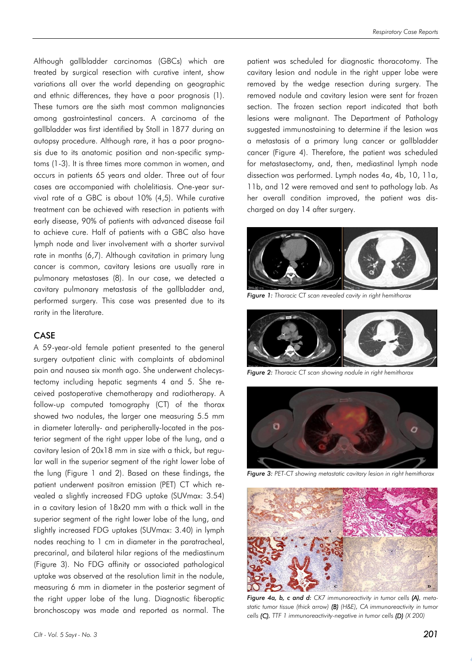Although gallbladder carcinomas (GBCs) which are treated by surgical resection with curative intent, show variations all over the world depending on geographic and ethnic differences, they have a poor prognosis (1). These tumors are the sixth most common malignancies among gastrointestinal cancers. A carcinoma of the gallbladder was first identified by Stoll in 1877 during an autopsy procedure. Although rare, it has a poor prognosis due to its anatomic position and non-specific symptoms (1-3). It is three times more common in women, and occurs in patients 65 years and older. Three out of four cases are accompanied with cholelitiasis. One-year survival rate of a GBC is about 10% (4,5). While curative treatment can be achieved with resection in patients with early disease, 90% of patients with advanced disease fail to achieve cure. Half of patients with a GBC also have lymph node and liver involvement with a shorter survival rate in months (6,7). Although cavitation in primary lung cancer is common, cavitary lesions are usually rare in pulmonary metastases (8). In our case, we detected a cavitary pulmonary metastasis of the gallbladder and, performed surgery. This case was presented due to its rarity in the literature.

### CASE

A 59-year-old female patient presented to the general surgery outpatient clinic with complaints of abdominal pain and nausea six month ago. She underwent cholecystectomy including hepatic segments 4 and 5. She received postoperative chemotherapy and radiotherapy. A follow-up computed tomography (CT) of the thorax showed two nodules, the larger one measuring 5.5 mm in diameter laterally- and peripherally-located in the posterior segment of the right upper lobe of the lung, and a cavitary lesion of 20x18 mm in size with a thick, but regular wall in the superior segment of the right lower lobe of the lung (Figure 1 and 2). Based on these findings, the patient underwent positron emission (PET) CT which revealed a slightly increased FDG uptake (SUVmax: 3.54) in a cavitary lesion of 18x20 mm with a thick wall in the superior segment of the right lower lobe of the lung, and slightly increased FDG uptakes (SUVmax: 3.40) in lymph nodes reaching to 1 cm in diameter in the paratracheal, precarinal, and bilateral hilar regions of the mediastinum (Figure 3). No FDG affinity or associated pathological uptake was observed at the resolution limit in the nodule, measuring 6 mm in diameter in the posterior segment of the right upper lobe of the lung. Diagnostic fiberoptic bronchoscopy was made and reported as normal. The

patient was scheduled for diagnostic thoracotomy. The cavitary lesion and nodule in the right upper lobe were removed by the wedge resection during surgery. The removed nodule and cavitary lesion were sent for frozen section. The frozen section report indicated that both lesions were malignant. The Department of Pathology suggested immunostaining to determine if the lesion was a metastasis of a primary lung cancer or gallbladder cancer (Figure 4). Therefore, the patient was scheduled for metastasectomy, and, then, mediastinal lymph node dissection was performed. Lymph nodes 4a, 4b, 10, 11a, 11b, and 12 were removed and sent to pathology lab. As her overall condition improved, the patient was discharged on day 14 after surgery.



*Figure 1: Thoracic CT scan revealed cavity in right hemithorax*



*Figure 2: Thoracic CT scan showing nodule in right hemithorax*



*Figure 3: PET-CT showing metastatic cavitary lesion in right hemithorax*



*Figure 4a, b, c and d: CK7 immunoreactivity in tumor cells (A), metastatic tumor tissue (thick arrow) (B) (H&E), CA immunoreactivity in tumor cells (C), TTF 1 immunoreactivity-negative in tumor cells (D) (X 200)*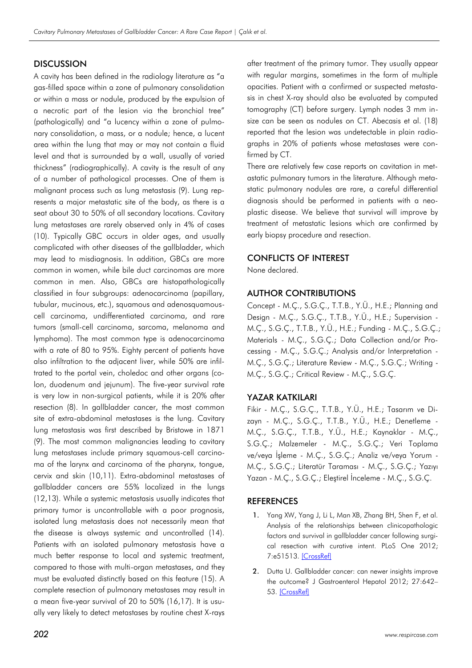### **DISCUSSION**

A cavity has been defined in the radiology literature as "a gas-filled space within a zone of pulmonary consolidation or within a mass or nodule, produced by the expulsion of a necrotic part of the lesion via the bronchial tree" (pathologically) and "a lucency within a zone of pulmonary consolidation, a mass, or a nodule; hence, a lucent area within the lung that may or may not contain a fluid level and that is surrounded by a wall, usually of varied thickness" (radiographically). A cavity is the result of any of a number of pathological processes. One of them is malignant process such as lung metastasis (9). Lung represents a major metastatic site of the body, as there is a seat about 30 to 50% of all secondary locations. Cavitary lung metastases are rarely observed only in 4% of cases (10). Typically GBC occurs in older ages, and usually complicated with other diseases of the gallbladder, which may lead to misdiagnosis. In addition, GBCs are more common in women, while bile duct carcinomas are more common in men. Also, GBCs are histopathologically classified in four subgroups: adenocarcinoma (papillary, tubular, mucinous, etc.), squamous and adenosquamouscell carcinoma, undifferentiated carcinoma, and rare tumors (small-cell carcinoma, sarcoma, melanoma and lymphoma). The most common type is adenocarcinoma with a rate of 80 to 95%. Eighty percent of patients have also infiltration to the adjacent liver, while 50% are infiltrated to the portal vein, choledoc and other organs (colon, duodenum and jejunum). The five-year survival rate is very low in non-surgical patients, while it is 20% after resection (8). In gallbladder cancer, the most common site of extra-abdominal metastases is the lung. Cavitary lung metastasis was first described by Bristowe in 1871 (9). The most common malignancies leading to cavitary lung metastases include primary squamous-cell carcinoma of the larynx and carcinoma of the pharynx, tongue, cervix and skin (10,11). Extra-abdominal metastases of gallbladder cancers are 55% localized in the lungs (12,13). While a systemic metastasis usually indicates that primary tumor is uncontrollable with a poor prognosis, isolated lung metastasis does not necessarily mean that the disease is always systemic and uncontrolled (14). Patients with an isolated pulmonary metastasis have a much better response to local and systemic treatment, compared to those with multi-organ metastases, and they must be evaluated distinctly based on this feature (15). A complete resection of pulmonary metastases may result in a mean five-year survival of 20 to 50% (16,17). It is usually very likely to detect metastases by routine chest X-rays

after treatment of the primary tumor. They usually appear with regular margins, sometimes in the form of multiple opacities. Patient with a confirmed or suspected metastasis in chest X-ray should also be evaluated by computed tomography (CT) before surgery. Lymph nodes 3 mm insize can be seen as nodules on CT. Abecasis et al. (18) reported that the lesion was undetectable in plain radiographs in 20% of patients whose metastases were confirmed by CT.

There are relatively few case reports on cavitation in metastatic pulmonary tumors in the literature. Although metastatic pulmonary nodules are rare, a careful differential diagnosis should be performed in patients with a neoplastic disease. We believe that survival will improve by treatment of metastatic lesions which are confirmed by early biopsy procedure and resection.

### CONFLICTS OF INTEREST

None declared.

### AUTHOR CONTRIBUTIONS

Concept - M.Ç., S.G.Ç., T.T.B., Y.Ü., H.E.; Planning and Design - M.Ç., S.G.Ç., T.T.B., Y.Ü., H.E.; Supervision - M.Ç., S.G.Ç., T.T.B., Y.Ü., H.E.; Funding - M.Ç., S.G.Ç.; Materials - M.Ç., S.G.Ç.; Data Collection and/or Processing - M.Ç., S.G.Ç.; Analysis and/or Interpretation - M.Ç., S.G.Ç.; Literature Review - M.Ç., S.G.Ç.; Writing - M.Ç., S.G.Ç.; Critical Review - M.Ç., S.G.Ç.

### YAZAR KATKILARI

Fikir - M.Ç., S.G.Ç., T.T.B., Y.Ü., H.E.; Tasarım ve Dizayn - M.Ç., S.G.Ç., T.T.B., Y.Ü., H.E.; Denetleme - M.Ç., S.G.Ç., T.T.B., Y.Ü., H.E.; Kaynaklar - M.Ç., S.G.Ç.; Malzemeler - M.Ç., S.G.Ç.; Veri Toplama ve/veya İşleme - M.Ç., S.G.Ç.; Analiz ve/veya Yorum - M.Ç., S.G.Ç.; Literatür Taraması - M.Ç., S.G.Ç.; Yazıyı Yazan - M.Ç., S.G.Ç.; Eleştirel İnceleme - M.Ç., S.G.Ç.

### **REFERENCES**

- 1. Yang XW, Yang J, Li L, Man XB, Zhang BH, Shen F, et al. Analysis of the relationships between clinicopathologic factors and survival in gallbladder cancer following surgical resection with curative intent. PLoS One 2012; 7:e51513. [\[CrossRef\]](http://dx.doi.org/10.1371/journal.pone.0051513)
- 2. Dutta U. Gallbladder cancer: can newer insights improve the outcome? J Gastroenterol Hepatol 2012; 27:642– 53. [\[CrossRef\]](http://dx.doi.org/10.1111/j.1440-1746.2011.07048.x)